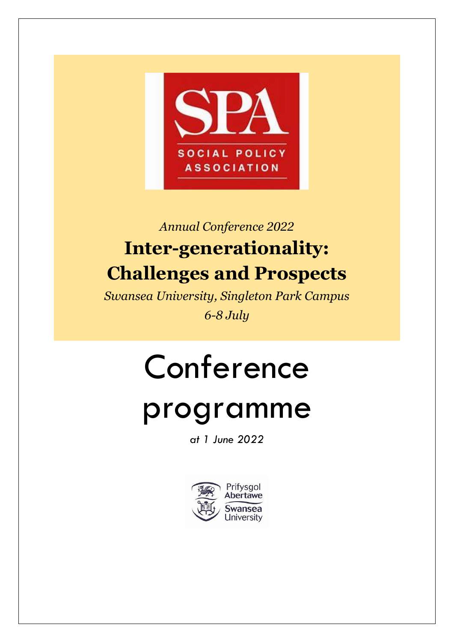

## *Annual Conference 2022* **Inter-generationality: Challenges and Prospects**

*Swansea University, Singleton Park Campus 6-8 July*

# Conference

## programme

*at 1 June 2022*

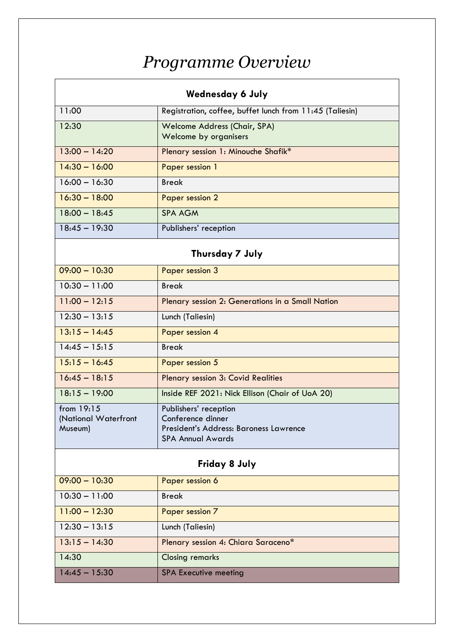## *Programme Overview*

| <b>Wednesday 6 July</b>                       |                                                                                                                  |  |
|-----------------------------------------------|------------------------------------------------------------------------------------------------------------------|--|
| 11:00                                         | Registration, coffee, buffet lunch from 11:45 (Taliesin)                                                         |  |
| 12:30                                         | Welcome Address (Chair, SPA)<br>Welcome by organisers                                                            |  |
| $13:00 - 14:20$                               | Plenary session 1: Minouche Shafik*                                                                              |  |
| $14:30 - 16:00$                               | Paper session 1                                                                                                  |  |
| $16:00 - 16:30$                               | <b>Break</b>                                                                                                     |  |
| $16:30 - 18:00$                               | <b>Paper session 2</b>                                                                                           |  |
| $18:00 - 18:45$                               | <b>SPA AGM</b>                                                                                                   |  |
| $18:45 - 19:30$                               | Publishers' reception                                                                                            |  |
|                                               | Thursday 7 July                                                                                                  |  |
| $09:00 - 10:30$                               | Paper session 3                                                                                                  |  |
| $10:30 - 11:00$                               | <b>Break</b>                                                                                                     |  |
| $11:00 - 12:15$                               | Plenary session 2: Generations in a Small Nation                                                                 |  |
| $12:30 - 13:15$                               | Lunch (Taliesin)                                                                                                 |  |
| $13.15 - 14.45$                               | Paper session 4                                                                                                  |  |
| $14:45 - 15:15$                               | <b>Break</b>                                                                                                     |  |
| $15:15 - 16:45$                               | Paper session 5                                                                                                  |  |
| $16:45 - 18:15$                               | Plenary session 3: Covid Realities                                                                               |  |
| $18.15 - 19.00$                               | Inside REF 2021: Nick Ellison (Chair of UoA 20)                                                                  |  |
| from 19:15<br>(National Waterfront<br>Museum) | Publishers' reception<br>Conference dinner<br>President's Address: Baroness Lawrence<br><b>SPA Annual Awards</b> |  |
| <b>Friday 8 July</b>                          |                                                                                                                  |  |
| $09:00 - 10:30$                               | Paper session 6                                                                                                  |  |
| $10:30 - 11:00$                               | <b>Break</b>                                                                                                     |  |
| $11:00 - 12:30$                               | Paper session 7                                                                                                  |  |
| $12:30 - 13:15$                               | Lunch (Taliesin)                                                                                                 |  |
| $13.15 - 14.30$                               | Plenary session 4: Chiara Saraceno*                                                                              |  |
| 14:30                                         | <b>Closing remarks</b>                                                                                           |  |
| $14:45 - 15:30$                               | <b>SPA Executive meeting</b>                                                                                     |  |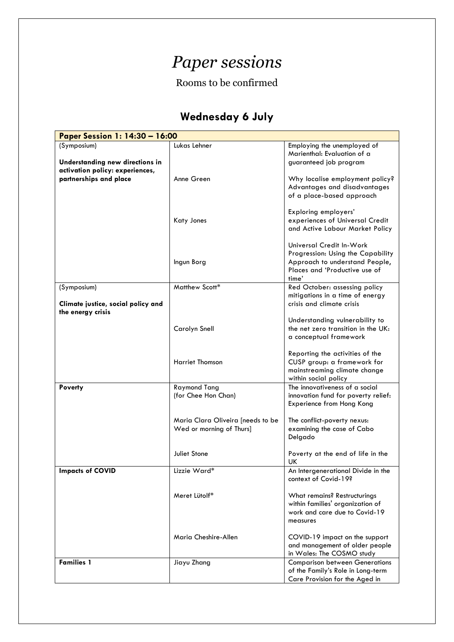### *Paper sessions*

#### Rooms to be confirmed

#### **Wednesday 6 July**

| Paper Session 1: 14:30 - 16:00                                         |                                                               |                                                                                                                                           |  |
|------------------------------------------------------------------------|---------------------------------------------------------------|-------------------------------------------------------------------------------------------------------------------------------------------|--|
| (Symposium)<br>Understanding new directions in                         | Lukas Lehner                                                  | Employing the unemployed of<br>Marienthal: Evaluation of a<br>guaranteed job program                                                      |  |
| activation policy: experiences,<br>partnerships and place              | Anne Green                                                    | Why localise employment policy?<br>Advantages and disadvantages                                                                           |  |
|                                                                        | <b>Katy Jones</b>                                             | of a place-based approach<br>Exploring employers'<br>experiences of Universal Credit<br>and Active Labour Market Policy                   |  |
|                                                                        | Ingun Borg                                                    | Universal Credit In-Work<br>Progression: Using the Capability<br>Approach to understand People,<br>Places and 'Productive use of<br>time' |  |
| (Symposium)<br>Climate justice, social policy and<br>the energy crisis | Matthew Scott*                                                | Red October: assessing policy<br>mitigations in a time of energy<br>crisis and climate crisis                                             |  |
|                                                                        | Carolyn Snell                                                 | Understanding vulnerability to<br>the net zero transition in the UK:<br>a conceptual framework                                            |  |
|                                                                        | <b>Harriet Thomson</b>                                        | Reporting the activities of the<br>CUSP group: a framework for<br>mainstreaming climate change<br>within social policy                    |  |
| Poverty                                                                | <b>Raymond Tang</b><br>(for Chee Hon Chan)                    | The innovativeness of a social<br>innovation fund for poverty relief:<br>Experience from Hong Kong                                        |  |
|                                                                        | Maria Clara Oliveira [needs to be<br>Wed or morning of Thurs] | The conflict-poverty nexus:<br>examining the case of Cabo<br>Delgado                                                                      |  |
|                                                                        | Juliet Stone                                                  | Poverty at the end of life in the<br>UK                                                                                                   |  |
| <b>Impacts of COVID</b>                                                | Lizzie Ward*                                                  | An Intergenerational Divide in the<br>context of Covid-19?                                                                                |  |
|                                                                        | Meret Lütolf*                                                 | What remains? Restructurings<br>within families' organization of<br>work and care due to Covid-19<br>measures                             |  |
|                                                                        | Maria Cheshire-Allen                                          | COVID-19 impact on the support<br>and management of older people<br>in Wales: The COSMO study                                             |  |
| <b>Families 1</b>                                                      | Jiayu Zhang                                                   | <b>Comparison between Generations</b><br>of the Family's Role in Long-term<br>Care Provision for the Aged in                              |  |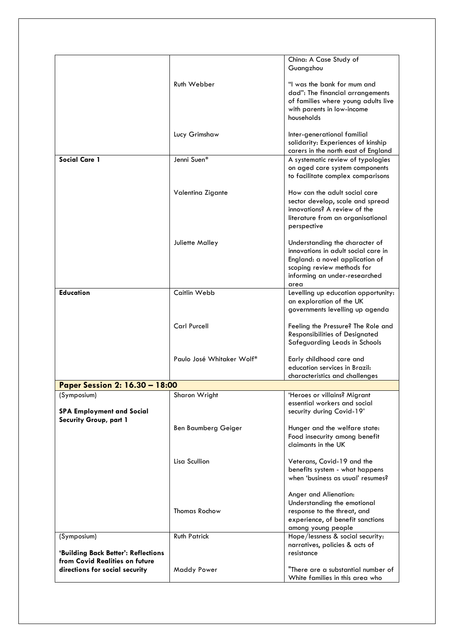|                                                                           |                            | China: A Case Study of<br>Guangzhou                                                                                                                                             |
|---------------------------------------------------------------------------|----------------------------|---------------------------------------------------------------------------------------------------------------------------------------------------------------------------------|
|                                                                           | Ruth Webber                | "I was the bank for mum and<br>dad": The financial arrangements<br>of families where young adults live<br>with parents in low-income<br>households                              |
|                                                                           | Lucy Grimshaw              | Inter-generational familial<br>solidarity: Experiences of kinship<br>carers in the north east of England                                                                        |
| <b>Social Care 1</b>                                                      | Jenni Suen*                | A systematic review of typologies<br>on aged care system components<br>to facilitate complex comparisons                                                                        |
|                                                                           | Valentina Zigante          | How can the adult social care<br>sector develop, scale and spread<br>innovations? A review of the<br>literature from an organisational<br>perspective                           |
|                                                                           | Juliette Malley            | Understanding the character of<br>innovations in adult social care in<br>England: a novel application of<br>scoping review methods for<br>informing an under-researched<br>area |
| <b>Education</b>                                                          | Caitlin Webb               | Levelling up education opportunity:<br>an exploration of the UK<br>governments levelling up agenda                                                                              |
|                                                                           | <b>Carl Purcell</b>        | Feeling the Pressure? The Role and<br>Responsibilities of Designated<br>Safeguarding Leads in Schools                                                                           |
|                                                                           | Paulo José Whitaker Wolf*  | Early childhood care and<br>education services in Brazil:<br>characteristics and challenges                                                                                     |
| Paper Session 2: 16.30 - 18:00                                            |                            |                                                                                                                                                                                 |
| (Symposium)<br><b>SPA Employment and Social</b><br>Security Group, part 1 | Sharon Wright              | 'Heroes or villains? Migrant<br>essential workers and social<br>security during Covid-19'                                                                                       |
|                                                                           | <b>Ben Baumberg Geiger</b> | Hunger and the welfare state:<br>Food insecurity among benefit<br>claimants in the UK                                                                                           |
|                                                                           | Lisa Scullion              | Veterans, Covid-19 and the<br>benefits system - what happens<br>when 'business as usual' resumes?                                                                               |
|                                                                           | <b>Thomas Rochow</b>       | Anger and Alienation:<br>Understanding the emotional<br>response to the threat, and<br>experience, of benefit sanctions<br>among young people                                   |
| (Symposium)<br>'Building Back Better': Reflections                        | <b>Ruth Patrick</b>        | Hope/lessness & social security:<br>narratives, policies & acts of<br>resistance                                                                                                |
| from Covid Realities on future<br>directions for social security          | <b>Maddy Power</b>         | "There are a substantial number of<br>White families in this area who                                                                                                           |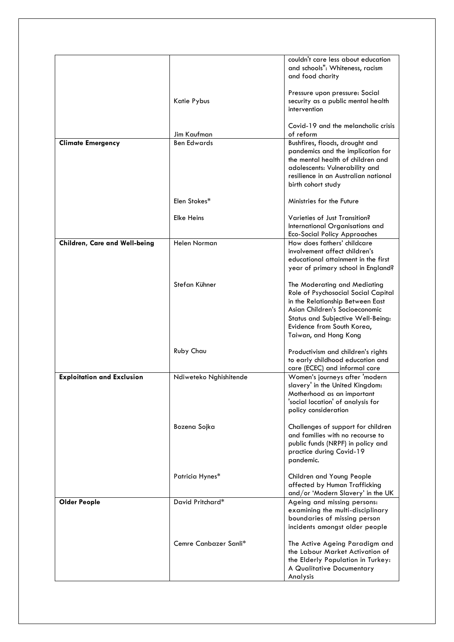|                                   |                        | couldn't care less about education<br>and schools": Whiteness, racism<br>and food charity                                                                                                                                             |
|-----------------------------------|------------------------|---------------------------------------------------------------------------------------------------------------------------------------------------------------------------------------------------------------------------------------|
|                                   | Katie Pybus            | Pressure upon pressure: Social<br>security as a public mental health<br>intervention                                                                                                                                                  |
|                                   | Jim Kaufman            | Covid-19 and the melancholic crisis<br>of reform                                                                                                                                                                                      |
| <b>Climate Emergency</b>          | <b>Ben Edwards</b>     | Bushfires, floods, drought and<br>pandemics and the implication for<br>the mental health of children and<br>adolescents: Vulnerability and<br>resilience in an Australian national<br>birth cohort study                              |
|                                   | Elen Stokes*           | Ministries for the Future                                                                                                                                                                                                             |
|                                   | <b>Elke Heins</b>      | Varieties of Just Transition?<br>International Organisations and<br><b>Eco-Social Policy Approaches</b>                                                                                                                               |
| Children, Care and Well-being     | <b>Helen Norman</b>    | How does fathers' childcare<br>involvement affect children's<br>educational attainment in the first<br>year of primary school in England?                                                                                             |
|                                   | Stefan Kühner          | The Moderating and Mediating<br>Role of Psychosocial Social Capital<br>in the Relationship Between East<br>Asian Children's Socioeconomic<br>Status and Subjective Well-Being:<br>Evidence from South Korea,<br>Taiwan, and Hong Kong |
|                                   | Ruby Chau              | Productivism and children's rights<br>to early childhood education and<br>care (ECEC) and informal care                                                                                                                               |
| <b>Exploitation and Exclusion</b> | Ndiweteko Nghishitende | Women's journeys after 'modern<br>slavery' in the United Kingdom:<br>Motherhood as an important<br>'social location' of analysis for<br>policy consideration                                                                          |
|                                   | Bozena Sojka           | Challenges of support for children<br>and families with no recourse to<br>public funds (NRPF) in policy and<br>practice during Covid-19<br>pandemic.                                                                                  |
|                                   | Patricia Hynes*        | Children and Young People<br>affected by Human Trafficking<br>and/or 'Modern Slavery' in the UK                                                                                                                                       |
| <b>Older People</b>               | David Pritchard*       | Ageing and missing persons:<br>examining the multi-disciplinary<br>boundaries of missing person<br>incidents amongst older people                                                                                                     |
|                                   | Cemre Canbazer Sanli*  | The Active Ageing Paradigm and<br>the Labour Market Activation of<br>the Elderly Population in Turkey:<br>A Qualitative Documentary<br>Analysis                                                                                       |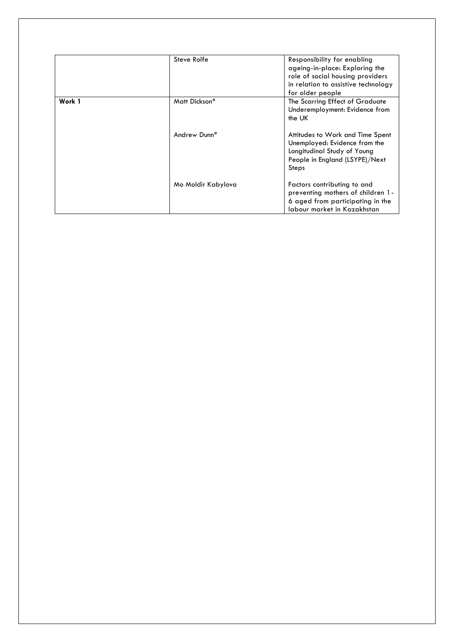|        | Steve Rolfe        | Responsibility for enabling<br>ageing-in-place: Exploring the<br>role of social housing providers<br>in relation to assistive technology<br>for older people |
|--------|--------------------|--------------------------------------------------------------------------------------------------------------------------------------------------------------|
| Work 1 | Matt Dickson*      | The Scarring Effect of Graduate<br>Underemployment: Evidence from<br>the UK                                                                                  |
|        | Andrew Dunn*       | Attitudes to Work and Time Spent<br>Unemployed: Evidence from the<br>Longitudinal Study of Young<br>People in England (LSYPE)/Next<br>Steps                  |
|        | Mo Moldir Kabylova | Factors contributing to and<br>preventing mothers of children 1-<br>6 aged from participating in the<br>Jabour market in Kazakhstan                          |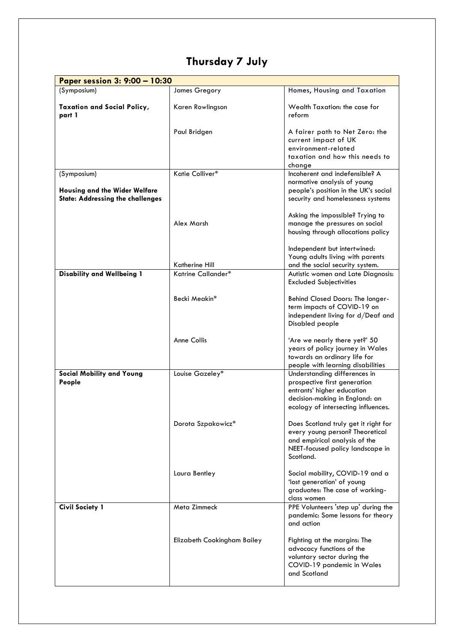#### **Thursday 7 July**

| Paper session 3: 9:00 - 10:30                                            |                             |                                                                                                                                                                     |  |
|--------------------------------------------------------------------------|-----------------------------|---------------------------------------------------------------------------------------------------------------------------------------------------------------------|--|
| (Symposium)                                                              | James Gregory               | Homes, Housing and Taxation                                                                                                                                         |  |
| <b>Taxation and Social Policy,</b><br>part 1                             | Karen Rowlingson            | Wealth Taxation: the case for<br>reform                                                                                                                             |  |
|                                                                          | Paul Bridgen                | A fairer path to Net Zero: the<br>current impact of UK<br>environment-related                                                                                       |  |
|                                                                          |                             | taxation and how this needs to<br>change                                                                                                                            |  |
| (Symposium)                                                              | Katie Colliver*             | Incoherent and indefensible? A<br>normative analysis of young                                                                                                       |  |
| Housing and the Wider Welfare<br><b>State: Addressing the challenges</b> |                             | people's position in the UK's social<br>security and homelessness systems                                                                                           |  |
|                                                                          | Alex Marsh                  | Asking the impossible? Trying to<br>manage the pressures on social<br>housing through allocations policy                                                            |  |
|                                                                          | Katherine Hill              | Independent but intertwined:<br>Young adults living with parents<br>and the social security system.                                                                 |  |
| <b>Disability and Wellbeing 1</b>                                        | Katrine Callander*          | Autistic women and Late Diagnosis:<br><b>Excluded Subjectivities</b>                                                                                                |  |
|                                                                          | Becki Meakin*               | Behind Closed Doors: The longer-<br>term impacts of COVID-19 on<br>independent living for d/Deaf and<br>Disabled people                                             |  |
|                                                                          | <b>Anne Collis</b>          | 'Are we nearly there yet?' 50<br>years of policy journey in Wales<br>towards an ordinary life for<br>people with learning disabilities                              |  |
| <b>Social Mobility and Young</b><br>People                               | Louise Gazeley*             | Understanding differences in<br>prospective first generation<br>entrants' higher education<br>decision-making in England: an<br>ecology of intersecting influences. |  |
|                                                                          | Dorota Szpakowicz*          | Does Scotland truly get it right for<br>every young person? Theoretical<br>and empirical analysis of the<br>NEET-focused policy landscape in<br>Scotland.           |  |
|                                                                          | Laura Bentley               | Social mobility, COVID-19 and a<br>'lost generation' of young<br>graduates: The case of working-<br>class women                                                     |  |
| <b>Civil Society 1</b>                                                   | Meta Zimmeck                | PPE Volunteers 'step up' during the<br>pandemic: Some lessons for theory<br>and action                                                                              |  |
|                                                                          | Elizabeth Cookingham Bailey | Fighting at the margins: The<br>advocacy functions of the<br>voluntary sector during the<br>COVID-19 pandemic in Wales<br>and Scotland                              |  |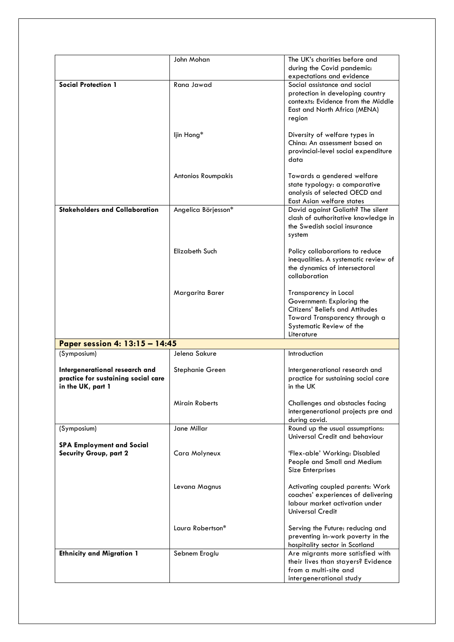|                                                                                            | John Mohan                | The UK's charities before and<br>during the Covid pandemic:<br>expectations and evidence                                                                         |
|--------------------------------------------------------------------------------------------|---------------------------|------------------------------------------------------------------------------------------------------------------------------------------------------------------|
| <b>Social Protection 1</b>                                                                 | Rana Jawad                | Social assistance and social<br>protection in developing country<br>contexts: Evidence from the Middle<br>East and North Africa (MENA)<br>region                 |
|                                                                                            | ljin Hong*                | Diversity of welfare types in<br>China: An assessment based on<br>provincial-level social expenditure<br>data                                                    |
|                                                                                            | <b>Antonios Roumpakis</b> | Towards a gendered welfare<br>state typology: a comparative<br>analysis of selected OECD and<br>East Asian welfare states                                        |
| <b>Stakeholders and Collaboration</b>                                                      | Angelica Börjesson*       | David against Goliath? The silent<br>clash of authoritative knowledge in<br>the Swedish social insurance<br>system                                               |
|                                                                                            | Elizabeth Such            | Policy collaborations to reduce<br>inequalities. A systematic review of<br>the dynamics of intersectoral<br>collaboration                                        |
|                                                                                            | Margarita Barer           | Transparency in Local<br>Government: Exploring the<br>Citizens' Beliefs and Attitudes<br>Toward Transparency through a<br>Systematic Review of the<br>Literature |
| Paper session 4: 13:15 - 14:45                                                             |                           |                                                                                                                                                                  |
| (Symposium)                                                                                | Jelena Sakure             | Introduction                                                                                                                                                     |
| Intergenerational research and<br>practice for sustaining social care<br>in the UK, part 1 | Stephanie Green           | Intergenerational research and<br>practice for sustaining social care<br>in the UK                                                                               |
|                                                                                            | Mirain Roberts            | Challenges and obstacles facing<br>intergenerational projects pre and<br>during covid.                                                                           |
| (Symposium)                                                                                | Jane Millar               | Round up the usual assumptions:<br>Universal Credit and behaviour                                                                                                |
| <b>SPA Employment and Social</b><br><b>Security Group, part 2</b>                          | Cara Molyneux             | 'Flex-able' Working: Disabled<br>People and Small and Medium<br>Size Enterprises                                                                                 |
|                                                                                            | Levana Magnus             | Activating coupled parents: Work<br>coaches' experiences of delivering<br>labour market activation under<br><b>Universal Credit</b>                              |
|                                                                                            | Laura Robertson*          | Serving the Future: reducing and<br>preventing in-work poverty in the<br>hospitality sector in Scotland                                                          |
| <b>Ethnicity and Migration 1</b>                                                           | Sebnem Eroglu             | Are migrants more satisfied with<br>their lives than stayers? Evidence<br>from a multi-site and<br>intergenerational study                                       |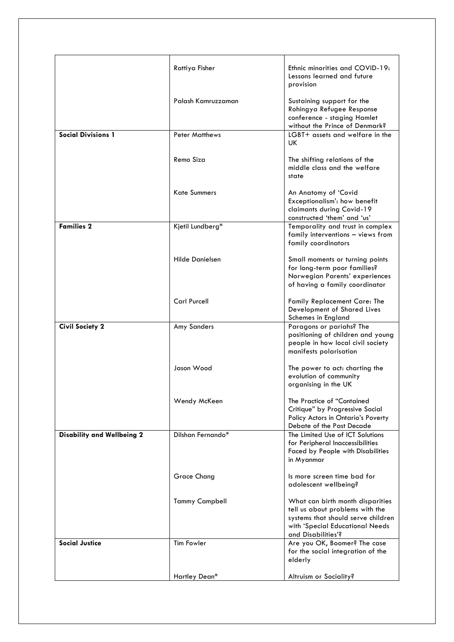|                                   | Rattiya Fisher         | Ethnic minorities and COVID-19:<br>Lessons learned and future<br>provision                                                                                         |
|-----------------------------------|------------------------|--------------------------------------------------------------------------------------------------------------------------------------------------------------------|
|                                   | Palash Kamruzzaman     | Sustaining support for the<br>Rohingya Refugee Response<br>conference - staging Hamlet<br>without the Prince of Denmark?                                           |
| <b>Social Divisions 1</b>         | <b>Peter Matthews</b>  | LGBT+ assets and welfare in the<br>UK.                                                                                                                             |
|                                   | Remo Siza              | The shifting relations of the<br>middle class and the welfare<br>state                                                                                             |
|                                   | <b>Kate Summers</b>    | An Anatomy of 'Covid<br>Exceptionalism': how benefit<br>claimants during Covid-19<br>constructed 'them' and 'us'                                                   |
| <b>Families 2</b>                 | Kjetil Lundberg*       | Temporality and trust in complex<br>family interventions - views from<br>family coordinators                                                                       |
|                                   | <b>Hilde Danielsen</b> | Small moments or turning points<br>for long-term poor families?<br>Norwegian Parents' experiences<br>of having a family coordinator                                |
|                                   | <b>Carl Purcell</b>    | Family Replacement Care: The<br>Development of Shared Lives<br>Schemes in England                                                                                  |
| <b>Civil Society 2</b>            | Amy Sanders            | Paragons or pariahs? The<br>positioning of children and young<br>people in how local civil society<br>manifests polarisation                                       |
|                                   | Jason Wood             | The power to act: charting the<br>evolution of community<br>organising in the UK                                                                                   |
|                                   | Wendy McKeen           | The Practice of "Contained<br>Critique" by Progressive Social<br>Policy Actors in Ontario's Poverty<br>Debate of the Past Decade                                   |
| <b>Disability and Wellbeing 2</b> | Dilshan Fernando*      | The Limited Use of ICT Solutions<br>for Peripheral Inaccessibilities<br>Faced by People with Disabilities<br>in Myanmar                                            |
|                                   | <b>Grace Chang</b>     | Is more screen time bad for<br>adolescent wellbeing?                                                                                                               |
|                                   | <b>Tammy Campbell</b>  | What can birth month disparities<br>tell us about problems with the<br>systems that should serve children<br>with 'Special Educational Needs<br>and Disabilities'? |
| <b>Social Justice</b>             | <b>Tim Fowler</b>      | Are you OK, Boomer? The case<br>for the social integration of the<br>elderly                                                                                       |
|                                   | Hartley Dean*          | Altruism or Sociality?                                                                                                                                             |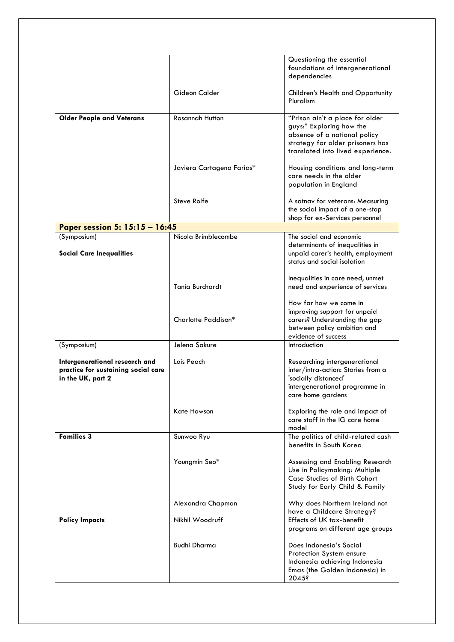|                                                                                            |                           | Questioning the essential<br>foundations of intergenerational<br>dependencies                                                                                        |
|--------------------------------------------------------------------------------------------|---------------------------|----------------------------------------------------------------------------------------------------------------------------------------------------------------------|
|                                                                                            | Gideon Calder             | <b>Children's Health and Opportunity</b><br>Pluralism                                                                                                                |
| <b>Older People and Veterans</b>                                                           | <b>Rosannah Hutton</b>    | "Prison ain't a place for older<br>guys:" Exploring how the<br>absence of a national policy<br>strategy for older prisoners has<br>translated into lived experience. |
|                                                                                            | Javiera Cartagena Farias* | Housing conditions and long-term<br>care needs in the older<br>population in England                                                                                 |
|                                                                                            | Steve Rolfe               | A satnav for veterans: Measuring<br>the social impact of a one-stop<br>shop for ex-Services personnel                                                                |
| Paper session 5: 15:15 - 16:45                                                             |                           |                                                                                                                                                                      |
| (Symposium)<br><b>Social Care Inequalities</b>                                             | Nicola Brimblecombe       | The social and economic<br>determinants of inequalities in<br>unpaid carer's health, employment<br>status and social isolation                                       |
|                                                                                            | Tania Burchardt           | Inequalities in care need, unmet<br>need and experience of services                                                                                                  |
|                                                                                            | Charlotte Paddison*       | How far how we come in<br>improving support for unpaid<br>carers? Understanding the gap<br>between policy ambition and<br>evidence of success                        |
| (Symposium)                                                                                | Jelena Sakure             | Introduction                                                                                                                                                         |
| Intergenerational research and<br>practice for sustaining social care<br>in the UK, part 2 | Lois Peach                | Researching intergenerational<br>inter/intra-action: Stories from a<br>'socially distanced'<br>intergenerational programme in<br>care home gardens                   |
|                                                                                            | Kate Howson               | Exploring the role and impact of<br>care staff in the IG care home<br>model                                                                                          |
| <b>Families 3</b>                                                                          | Sunwoo Ryu                | The politics of child-related cash<br>benefits in South Korea                                                                                                        |
|                                                                                            | Youngmin Seo*             | Assessing and Enabling Research<br>Use in Policymaking: Multiple<br>Case Studies of Birth Cohort<br>Study for Early Child & Family                                   |
|                                                                                            | Alexandra Chapman         | Why does Northern Ireland not<br>have a Childcare Strategy?                                                                                                          |
| <b>Policy Impacts</b>                                                                      | Nikhil Woodruff           | Effects of UK tax-benefit<br>programs on different age groups                                                                                                        |
|                                                                                            | <b>Budhi Dharma</b>       | Does Indonesia's Social<br>Protection System ensure<br>Indonesia achieving Indonesia<br>Emas (the Golden Indonesia) in<br>2045?                                      |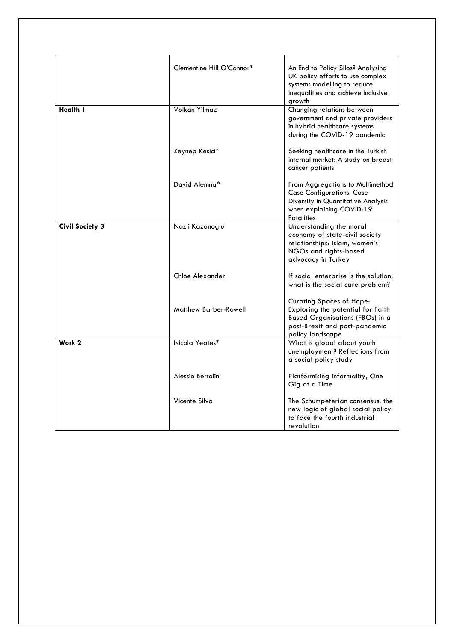|                        | Clementine Hill O'Connor* | An End to Policy Silos? Analysing<br>UK policy efforts to use complex<br>systems modelling to reduce<br>inequalities and achieve inclusive<br>growth         |
|------------------------|---------------------------|--------------------------------------------------------------------------------------------------------------------------------------------------------------|
| <b>Health 1</b>        | Volkan Yilmaz             | Changing relations between<br>government and private providers<br>in hybrid healthcare systems<br>during the COVID-19 pandemic                               |
|                        | Zeynep Kesici*            | Seeking healthcare in the Turkish<br>internal market: A study on breast<br>cancer patients                                                                   |
|                        | David Alemna*             | From Aggregations to Multimethod<br><b>Case Configurations. Case</b><br>Diversity in Quantitative Analysis<br>when explaining COVID-19<br><b>Fatalities</b>  |
| <b>Civil Society 3</b> | Nazli Kazanoglu           | Understanding the moral<br>economy of state-civil society<br>relationships: Islam, women's<br>NGOs and rights-based<br>advocacy in Turkey                    |
|                        | Chloe Alexander           | If social enterprise is the solution,<br>what is the social care problem?                                                                                    |
|                        | Matthew Barber-Rowell     | <b>Curating Spaces of Hope:</b><br>Exploring the potential for Faith<br>Based Organisations (FBOs) in a<br>post-Brexit and post-pandemic<br>policy landscape |
| Work 2                 | Nicola Yeates*            | What is global about youth<br>unemployment? Reflections from<br>a social policy study                                                                        |
|                        | Alessio Bertolini         | Platformising Informality, One<br>Gig at a Time                                                                                                              |
|                        | Vicente Silva             | The Schumpeterian consensus: the<br>new logic of global social policy<br>to face the fourth industrial<br>revolution                                         |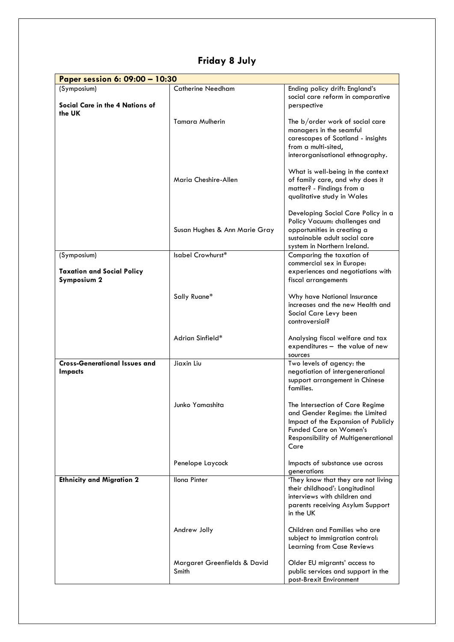| Paper session 6: 09:00 - 10:30                         |                                       |                                                                                                                                                                                   |
|--------------------------------------------------------|---------------------------------------|-----------------------------------------------------------------------------------------------------------------------------------------------------------------------------------|
| (Symposium)<br>Social Care in the 4 Nations of         | <b>Catherine Needham</b>              | Ending policy drift: England's<br>social care reform in comparative<br>perspective                                                                                                |
| the UK                                                 | <b>Tamara Mulherin</b>                | The b/order work of social care<br>managers in the seamful<br>carescapes of Scotland - insights<br>from a multi-sited,<br>interorganisational ethnography.                        |
|                                                        | Maria Cheshire-Allen                  | What is well-being in the context<br>of family care, and why does it<br>matter? - Findings from a<br>qualitative study in Wales                                                   |
|                                                        | Susan Hughes & Ann Marie Gray         | Developing Social Care Policy in a<br>Policy Vacuum: challenges and<br>opportunities in creating a<br>sustainable adult social care<br>system in Northern Ireland.                |
| (Symposium)                                            | Isabel Crowhurst*                     | Comparing the taxation of                                                                                                                                                         |
| <b>Taxation and Social Policy</b><br>Symposium 2       |                                       | commercial sex in Europe:<br>experiences and negotiations with<br>fiscal arrangements                                                                                             |
|                                                        | Sally Ruane*                          | Why have National Insurance<br>increases and the new Health and<br>Social Care Levy been<br>controversial?                                                                        |
|                                                        | Adrian Sinfield*                      | Analysing fiscal welfare and tax<br>expenditures - the value of new<br>sources                                                                                                    |
| <b>Cross-Generational Issues and</b><br><b>Impacts</b> | Jiaxin Liu                            | Two levels of agency: the<br>negotiation of intergenerational<br>support arrangement in Chinese<br>families.                                                                      |
|                                                        | Junko Yamashita                       | The Intersection of Care Regime<br>and Gender Regime: the Limited<br>Impact of the Expansion of Publicly<br>Funded Care on Women's<br>Responsibility of Multigenerational<br>Care |
|                                                        | Penelope Laycock                      | Impacts of substance use across<br>generations                                                                                                                                    |
| <b>Ethnicity and Migration 2</b>                       | <b>Ilona Pinter</b>                   | 'They know that they are not living<br>their childhood': Longitudinal<br>interviews with children and<br>parents receiving Asylum Support<br>in the UK                            |
|                                                        | Andrew Jolly                          | Children and Families who are<br>subject to immigration control:<br>Learning from Case Reviews                                                                                    |
|                                                        | Margaret Greenfields & David<br>Smith | Older EU migrants' access to<br>public services and support in the<br>post-Brexit Environment                                                                                     |

**Friday 8 July**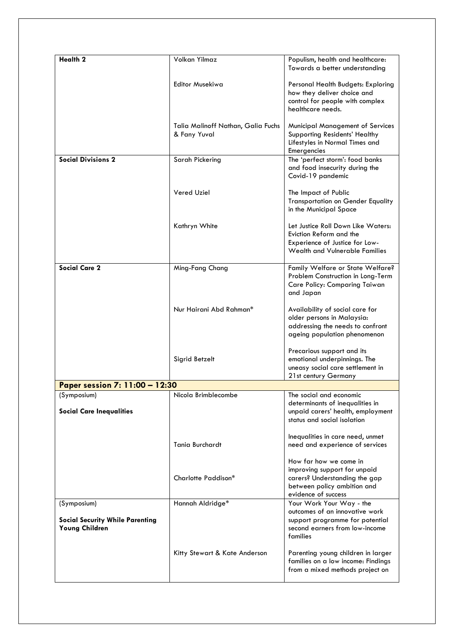| <b>Health 2</b>                                          | Volkan Yilmaz                                      | Populism, health and healthcare:<br>Towards a better understanding                                                                            |
|----------------------------------------------------------|----------------------------------------------------|-----------------------------------------------------------------------------------------------------------------------------------------------|
|                                                          | <b>Editor Musekiwa</b>                             | Personal Health Budgets: Exploring<br>how they deliver choice and<br>control for people with complex<br>healthcare needs.                     |
|                                                          | Talia Malinoff Nathan, Galia Fuchs<br>& Fany Yuval | <b>Municipal Management of Services</b><br>Supporting Residents' Healthy<br>Lifestyles in Normal Times and<br>Emergencies                     |
| <b>Social Divisions 2</b>                                | Sarah Pickering                                    | The 'perfect storm': food banks<br>and food insecurity during the<br>Covid-19 pandemic                                                        |
|                                                          | Vered Uziel                                        | The Impact of Public<br><b>Transportation on Gender Equality</b><br>in the Municipal Space                                                    |
|                                                          | Kathryn White                                      | Let Justice Roll Down Like Waters:<br>Eviction Reform and the<br>Experience of Justice for Low-<br>Wealth and Vulnerable Families             |
| <b>Social Care 2</b>                                     | Ming-Fang Chang                                    | Family Welfare or State Welfare?<br>Problem Construction in Long-Term<br>Care Policy: Comparing Taiwan<br>and Japan                           |
|                                                          | Nur Hairani Abd Rahman*                            | Availability of social care for<br>older persons in Malaysia:<br>addressing the needs to confront<br>ageing population phenomenon             |
|                                                          | Sigrid Betzelt                                     | Precarious support and its<br>emotional underpinnings. The<br>uneasy social care settlement in<br>21st century Germany                        |
| Paper session 7: 11:00 - 12:30                           |                                                    |                                                                                                                                               |
| (Symposium)<br><b>Social Care Inequalities</b>           | Nicola Brimblecombe                                | The social and economic<br>determinants of inequalities in<br>unpaid carers' health, employment<br>status and social isolation                |
|                                                          | <b>Tania Burchardt</b>                             | Inequalities in care need, unmet<br>need and experience of services                                                                           |
|                                                          | Charlotte Paddison*                                | How far how we come in<br>improving support for unpaid<br>carers? Understanding the gap<br>between policy ambition and<br>evidence of success |
| (Symposium)                                              | Hannah Aldridge*                                   | Your Work Your Way - the                                                                                                                      |
| <b>Social Security While Parenting</b><br>Young Children |                                                    | outcomes of an innovative work<br>support programme for potential<br>second earners from low-income<br>families                               |
|                                                          | Kitty Stewart & Kate Anderson                      | Parenting young children in larger<br>families on a low income: Findings<br>from a mixed methods project on                                   |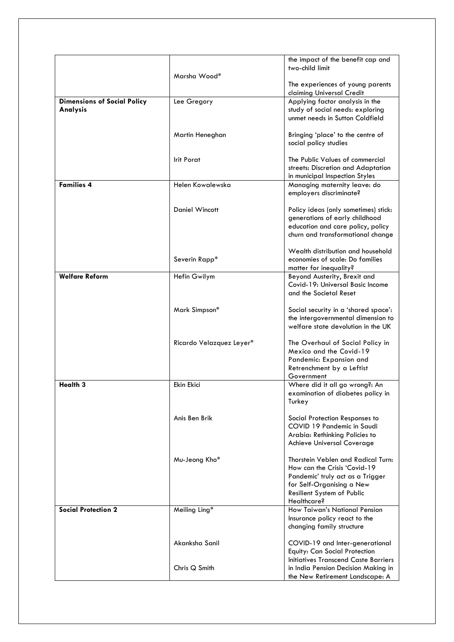|                                                |                          | the impact of the benefit cap and                                                                                                                                                |
|------------------------------------------------|--------------------------|----------------------------------------------------------------------------------------------------------------------------------------------------------------------------------|
|                                                | Marsha Wood*             | two-child limit                                                                                                                                                                  |
|                                                |                          | The experiences of young parents<br>claiming Universal Credit                                                                                                                    |
| <b>Dimensions of Social Policy</b><br>Analysis | Lee Gregory              | Applying factor analysis in the<br>study of social needs: exploring<br>unmet needs in Sutton Coldfield                                                                           |
|                                                | Martin Heneghan          | Bringing 'place' to the centre of<br>social policy studies                                                                                                                       |
|                                                | <b>Irit Porat</b>        | The Public Values of commercial<br>streets: Discretion and Adaptation<br>in municipal Inspection Styles                                                                          |
| <b>Families 4</b>                              | Helen Kowalewska         | Managing maternity leave: do<br>employers discriminate?                                                                                                                          |
|                                                | Daniel Wincott           | Policy ideas (only sometimes) stick:<br>generations of early childhood<br>education and care policy, policy<br>churn and transformational change                                 |
|                                                | Severin Rapp*            | Wealth distribution and household<br>economies of scale: Do families<br>matter for inequality?                                                                                   |
| <b>Welfare Reform</b>                          | Hefin Gwilym             | Beyond Austerity, Brexit and<br>Covid-19: Universal Basic Income<br>and the Societal Reset                                                                                       |
|                                                | Mark Simpson*            | Social security in a 'shared space':<br>the intergovernmental dimension to<br>welfare state devolution in the UK                                                                 |
|                                                | Ricardo Velazquez Leyer* | The Overhaul of Social Policy in<br>Mexico and the Covid-19<br>Pandemic: Expansion and<br>Retrenchment by a Leftist<br>Government                                                |
| <b>Health 3</b>                                | Ekin Ekici               | Where did it all go wrong?: An<br>examination of diabetes policy in<br>Turkey                                                                                                    |
|                                                | Anis Ben Brik            | Social Protection Responses to<br>COVID 19 Pandemic in Saudi<br>Arabia: Rethinking Policies to<br>Achieve Universal Coverage                                                     |
|                                                | Mu-Jeong Kho*            | Thorstein Veblen and Radical Turn:<br>How can the Crisis 'Covid-19<br>Pandemic' truly act as a Trigger<br>for Self-Organising a New<br>Resilient System of Public<br>Healthcare? |
| <b>Social Protection 2</b>                     | Meiling Ling*            | How Taiwan's National Pension<br>Insurance policy react to the<br>changing family structure                                                                                      |
|                                                | Akanksha Sanil           | COVID-19 and Inter-generational<br>Equity: Can Social Protection                                                                                                                 |
|                                                | Chris Q Smith            | Initiatives Transcend Caste Barriers<br>in India Pension Decision Making in<br>the New Retirement Landscape: A                                                                   |